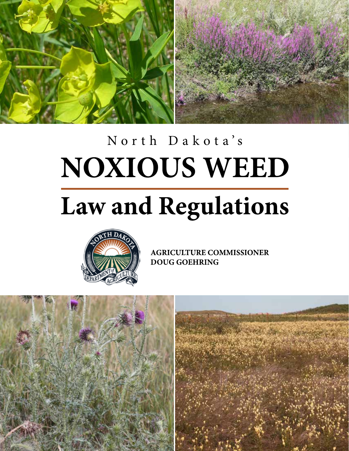

## North Dakota's**NOXIOUS WEED**

# **Law and Regulations**



**AGRICULTURE COMMISSIONER DOUG GOEHRING** 

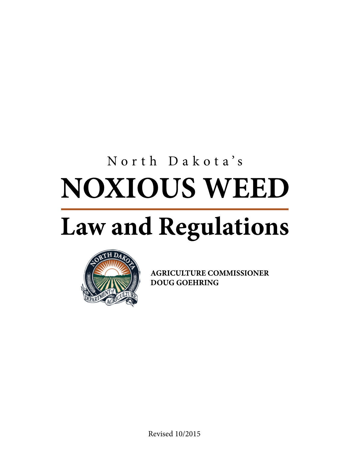# North Dakota's**NOXIOUS WEED**

# **Law and Regulations**



**AGRICULTURE COMMISSIONER DOUG GOEHRING** 

Revised 10/2015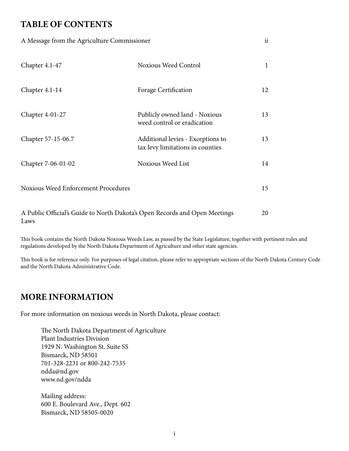## **TABLE OF CONTENTS**

| A Message from the Agriculture Commissioner |                                                                       | ii |
|---------------------------------------------|-----------------------------------------------------------------------|----|
| Chapter $4.1-47$                            | Noxious Weed Control                                                  | 1  |
| Chapter 4.1-14                              | Forage Certification                                                  | 12 |
| Chapter 4-01-27                             | Publicly owned land - Noxious<br>weed control or eradication          | 13 |
| Chapter 57-15-06.7                          | Additional levies - Exceptions to<br>tax levy limitations in counties | 13 |
| Chapter 7-06-01-02                          | Noxious Weed List                                                     | 14 |
| Noxious Weed Enforcement Procedures         |                                                                       | 15 |

A Public Official's Guide to North Dakota's Open Records and Open Meetings Laws 20

This book contains the North Dakota Noxious Weeds Law, as passed by the State Legislature, together with pertinent rules and regulations developed by the North Dakota Department of Agriculture and other state agencies.

This book is for reference only. For purposes of legal citation, please refer to appropriate sections of the North Dakota Century Code and the North Dakota Administrative Code.

## **MORE INFORMATION**

For more information on noxious weeds in North Dakota, please contact:

The North Dakota Department of Agriculture Plant Industries Division 1929 N. Washington St. Suite SS Bismarck, ND 58501 701-328-2231 or 800-242-7535 ndda@nd.gov www.nd.gov/ndda

Mailing address: 600 E. Boulevard Ave., Dept. 602 Bismarck, ND 58505-0020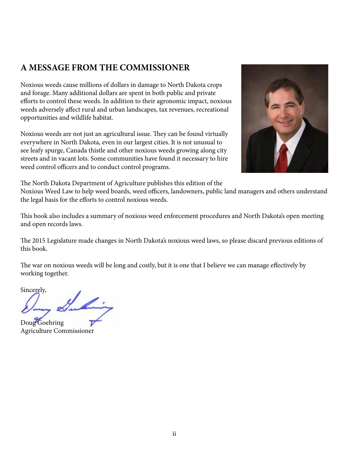## **A MESSAGE FROM THE COMMISSIONER**

the legal basis for the efforts to control noxious weeds.

Noxious weeds cause millions of dollars in damage to North Dakota crops and forage. Many additional dollars are spent in both public and private efforts to control these weeds. In addition to their agronomic impact, noxious weeds adversely affect rural and urban landscapes, tax revenues, recreational opportunities and wildlife habitat.

Noxious weeds are not just an agricultural issue. They can be found virtually everywhere in North Dakota, even in our largest cities. It is not unusual to see leafy spurge, Canada thistle and other noxious weeds growing along city streets and in vacant lots. Some communities have found it necessary to hire weed control officers and to conduct control programs.



The North Dakota Department of Agriculture publishes this edition of the Noxious Weed Law to help weed boards, weed officers, landowners, public land managers and others understand

This book also includes a summary of noxious weed enforcement procedures and North Dakota's open meeting and open records laws.

The 2015 Legislature made changes in North Dakota's noxious weed laws, so please discard previous editions of this book.

The war on noxious weeds will be long and costly, but it is one that I believe we can manage effectively by working together.

Sincerely,

Doug Goehring Agriculture Commissioner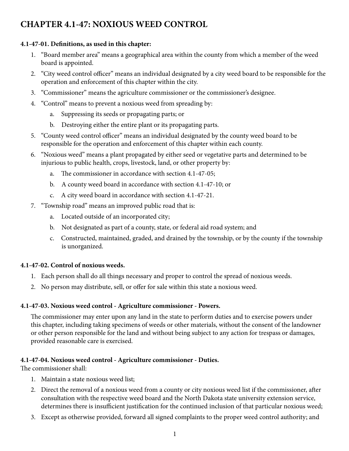## **CHAPTER 4.1-47: NOXIOUS WEED CONTROL**

## **4.1-47-01. Definitions, as used in this chapter:**

- 1. "Board member area" means a geographical area within the county from which a member of the weed board is appointed.
- 2. "City weed control officer" means an individual designated by a city weed board to be responsible for the operation and enforcement of this chapter within the city.
- 3. "Commissioner" means the agriculture commissioner or the commissioner's designee.
- 4. "Control" means to prevent a noxious weed from spreading by:
	- a. Suppressing its seeds or propagating parts; or
	- b. Destroying either the entire plant or its propagating parts.
- 5. "County weed control officer" means an individual designated by the county weed board to be responsible for the operation and enforcement of this chapter within each county.
- 6. "Noxious weed" means a plant propagated by either seed or vegetative parts and determined to be injurious to public health, crops, livestock, land, or other property by:
	- a. The commissioner in accordance with section 4.1-47-05;
	- b. A county weed board in accordance with section 4.1-47-10; or
	- c. A city weed board in accordance with section 4.1-47-21.
- 7. "Township road" means an improved public road that is:
	- a. Located outside of an incorporated city;
	- b. Not designated as part of a county, state, or federal aid road system; and
	- c. Constructed, maintained, graded, and drained by the township, or by the county if the township is unorganized.

## **4.1-47-02. Control of noxious weeds.**

- 1. Each person shall do all things necessary and proper to control the spread of noxious weeds.
- 2. No person may distribute, sell, or offer for sale within this state a noxious weed.

## **4.1-47-03. Noxious weed control - Agriculture commissioner - Powers.**

The commissioner may enter upon any land in the state to perform duties and to exercise powers under this chapter, including taking specimens of weeds or other materials, without the consent of the landowner or other person responsible for the land and without being subject to any action for trespass or damages, provided reasonable care is exercised.

## **4.1-47-04. Noxious weed control - Agriculture commissioner - Duties.**

The commissioner shall:

- 1. Maintain a state noxious weed list;
- 2. Direct the removal of a noxious weed from a county or city noxious weed list if the commissioner, after consultation with the respective weed board and the North Dakota state university extension service, determines there is insufficient justification for the continued inclusion of that particular noxious weed;
- 3. Except as otherwise provided, forward all signed complaints to the proper weed control authority; and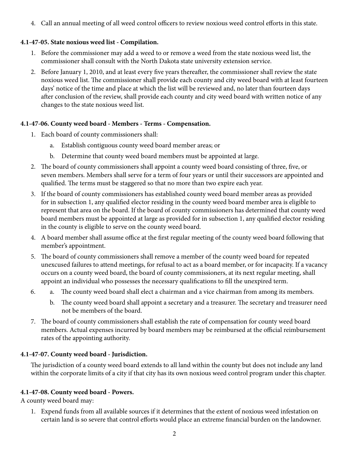4. Call an annual meeting of all weed control officers to review noxious weed control efforts in this state.

## **4.1-47-05. State noxious weed list - Compilation.**

- 1. Before the commissioner may add a weed to or remove a weed from the state noxious weed list, the commissioner shall consult with the North Dakota state university extension service.
- 2. Before January 1, 2010, and at least every five years thereafter, the commissioner shall review the state noxious weed list. The commissioner shall provide each county and city weed board with at least fourteen days' notice of the time and place at which the list will be reviewed and, no later than fourteen days after conclusion of the review, shall provide each county and city weed board with written notice of any changes to the state noxious weed list.

## **4.1-47-06. County weed board - Members - Terms - Compensation.**

- 1. Each board of county commissioners shall:
	- a. Establish contiguous county weed board member areas; or
	- b. Determine that county weed board members must be appointed at large.
- 2. The board of county commissioners shall appoint a county weed board consisting of three, five, or seven members. Members shall serve for a term of four years or until their successors are appointed and qualified. The terms must be staggered so that no more than two expire each year.
- 3. If the board of county commissioners has established county weed board member areas as provided for in subsection 1, any qualified elector residing in the county weed board member area is eligible to represent that area on the board. If the board of county commissioners has determined that county weed board members must be appointed at large as provided for in subsection 1, any qualified elector residing in the county is eligible to serve on the county weed board.
- 4. A board member shall assume office at the first regular meeting of the county weed board following that member's appointment.
- 5. The board of county commissioners shall remove a member of the county weed board for repeated unexcused failures to attend meetings, for refusal to act as a board member, or for incapacity. If a vacancy occurs on a county weed board, the board of county commissioners, at its next regular meeting, shall appoint an individual who possesses the necessary qualifications to fill the unexpired term.
- a. The county weed board shall elect a chairman and a vice chairman from among its members. 6.
	- b. The county weed board shall appoint a secretary and a treasurer. The secretary and treasurer need not be members of the board.
- 7. The board of county commissioners shall establish the rate of compensation for county weed board members. Actual expenses incurred by board members may be reimbursed at the official reimbursement rates of the appointing authority.

## **4.1-47-07. County weed board - Jurisdiction.**

The jurisdiction of a county weed board extends to all land within the county but does not include any land within the corporate limits of a city if that city has its own noxious weed control program under this chapter.

## **4.1-47-08. County weed board - Powers.**

A county weed board may:

1. Expend funds from all available sources if it determines that the extent of noxious weed infestation on certain land is so severe that control efforts would place an extreme financial burden on the landowner.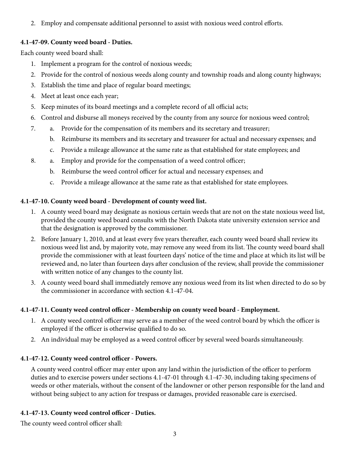2. Employ and compensate additional personnel to assist with noxious weed control efforts.

## **4.1-47-09. County weed board - Duties.**

Each county weed board shall:

7.

- 1. Implement a program for the control of noxious weeds;
- 2. Provide for the control of noxious weeds along county and township roads and along county highways;
- 3. Establish the time and place of regular board meetings;
- 4. Meet at least once each year;
- 5. Keep minutes of its board meetings and a complete record of all official acts;
- 6. Control and disburse all moneys received by the county from any source for noxious weed control;
	- a. Provide for the compensation of its members and its secretary and treasurer;
		- b. Reimburse its members and its secretary and treasurer for actual and necessary expenses; and
		- c. Provide a mileage allowance at the same rate as that established for state employees; and
- a. Employ and provide for the compensation of a weed control officer; 8.
	- b. Reimburse the weed control officer for actual and necessary expenses; and
	- c. Provide a mileage allowance at the same rate as that established for state employees.

## **4.1-47-10. County weed board - Development of county weed list.**

- 1. A county weed board may designate as noxious certain weeds that are not on the state noxious weed list, provided the county weed board consults with the North Dakota state university extension service and that the designation is approved by the commissioner.
- 2. Before January 1, 2010, and at least every five years thereafter, each county weed board shall review its noxious weed list and, by majority vote, may remove any weed from its list. The county weed board shall provide the commissioner with at least fourteen days' notice of the time and place at which its list will be reviewed and, no later than fourteen days after conclusion of the review, shall provide the commissioner with written notice of any changes to the county list.
- 3. A county weed board shall immediately remove any noxious weed from its list when directed to do so by the commissioner in accordance with section 4.1-47-04.

## **4.1-47-11. County weed control officer - Membership on county weed board - Employment.**

- 1. A county weed control officer may serve as a member of the weed control board by which the officer is employed if the officer is otherwise qualified to do so.
- 2. An individual may be employed as a weed control officer by several weed boards simultaneously.

## **4.1-47-12. County weed control officer - Powers.**

A county weed control officer may enter upon any land within the jurisdiction of the officer to perform duties and to exercise powers under sections 4.1-47-01 through 4.1-47-30, including taking specimens of weeds or other materials, without the consent of the landowner or other person responsible for the land and without being subject to any action for trespass or damages, provided reasonable care is exercised.

## **4.1-47-13. County weed control officer - Duties.**

The county weed control officer shall: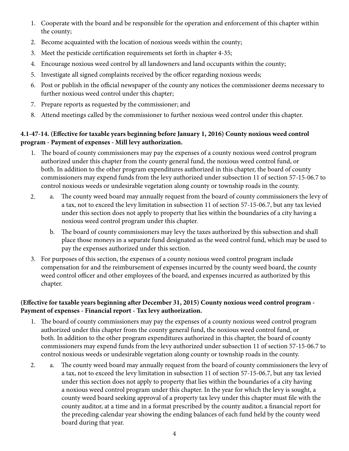- 1. Cooperate with the board and be responsible for the operation and enforcement of this chapter within the county;
- 2. Become acquainted with the location of noxious weeds within the county;
- 3. Meet the pesticide certification requirements set forth in chapter 4-35;
- 4. Encourage noxious weed control by all landowners and land occupants within the county;
- 5. Investigate all signed complaints received by the officer regarding noxious weeds;
- 6. Post or publish in the official newspaper of the county any notices the commissioner deems necessary to further noxious weed control under this chapter;
- 7. Prepare reports as requested by the commissioner; and
- 8. Attend meetings called by the commissioner to further noxious weed control under this chapter.

## **4.1-47-14. (Effective for taxable years beginning before January 1, 2016) County noxious weed control program - Payment of expenses - Mill levy authorization.**

- 1. The board of county commissioners may pay the expenses of a county noxious weed control program authorized under this chapter from the county general fund, the noxious weed control fund, or both. In addition to the other program expenditures authorized in this chapter, the board of county commissioners may expend funds from the levy authorized under subsection 11 of section 57-15-06.7 to control noxious weeds or undesirable vegetation along county or township roads in the county.
- a. The county weed board may annually request from the board of county commissioners the levy of a tax, not to exceed the levy limitation in subsection 11 of section 57-15-06.7, but any tax levied under this section does not apply to property that lies within the boundaries of a city having a noxious weed control program under this chapter. 2.
	- b. The board of county commissioners may levy the taxes authorized by this subsection and shall place those moneys in a separate fund designated as the weed control fund, which may be used to pay the expenses authorized under this section.
- 3. For purposes of this section, the expenses of a county noxious weed control program include compensation for and the reimbursement of expenses incurred by the county weed board, the county weed control officer and other employees of the board, and expenses incurred as authorized by this chapter.

## **(Effective for taxable years beginning after December 31, 2015) County noxious weed control program - Payment of expenses - Financial report - Tax levy authorization.**

- 1. The board of county commissioners may pay the expenses of a county noxious weed control program authorized under this chapter from the county general fund, the noxious weed control fund, or both. In addition to the other program expenditures authorized in this chapter, the board of county commissioners may expend funds from the levy authorized under subsection 11 of section 57-15-06.7 to control noxious weeds or undesirable vegetation along county or township roads in the county.
- a. The county weed board may annually request from the board of county commissioners the levy of a tax, not to exceed the levy limitation in subsection 11 of section 57-15-06.7, but any tax levied under this section does not apply to property that lies within the boundaries of a city having a noxious weed control program under this chapter. In the year for which the levy is sought, a county weed board seeking approval of a property tax levy under this chapter must file with the county auditor, at a time and in a format prescribed by the county auditor, a financial report for the preceding calendar year showing the ending balances of each fund held by the county weed board during that year. 2.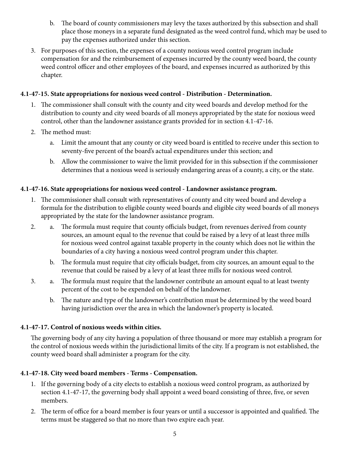- b. The board of county commissioners may levy the taxes authorized by this subsection and shall place those moneys in a separate fund designated as the weed control fund, which may be used to pay the expenses authorized under this section.
- 3. For purposes of this section, the expenses of a county noxious weed control program include compensation for and the reimbursement of expenses incurred by the county weed board, the county weed control officer and other employees of the board, and expenses incurred as authorized by this chapter.

## **4.1-47-15. State appropriations for noxious weed control - Distribution - Determination.**

- 1. The commissioner shall consult with the county and city weed boards and develop method for the distribution to county and city weed boards of all moneys appropriated by the state for noxious weed control, other than the landowner assistance grants provided for in section 4.1-47-16.
- 2. The method must:
	- a. Limit the amount that any county or city weed board is entitled to receive under this section to seventy-five percent of the board's actual expenditures under this section; and
	- b. Allow the commissioner to waive the limit provided for in this subsection if the commissioner determines that a noxious weed is seriously endangering areas of a county, a city, or the state.

## **4.1-47-16. State appropriations for noxious weed control - Landowner assistance program.**

- 1. The commissioner shall consult with representatives of county and city weed board and develop a formula for the distribution to eligible county weed boards and eligible city weed boards of all moneys appropriated by the state for the landowner assistance program.
- a. The formula must require that county officials budget, from revenues derived from county sources, an amount equal to the revenue that could be raised by a levy of at least three mills for noxious weed control against taxable property in the county which does not lie within the boundaries of a city having a noxious weed control program under this chapter. 2.
	- b. The formula must require that city officials budget, from city sources, an amount equal to the revenue that could be raised by a levy of at least three mills for noxious weed control.
- a. The formula must require that the landowner contribute an amount equal to at least twenty percent of the cost to be expended on behalf of the landowner. 3.
	- b. The nature and type of the landowner's contribution must be determined by the weed board having jurisdiction over the area in which the landowner's property is located.

## **4.1-47-17. Control of noxious weeds within cities.**

The governing body of any city having a population of three thousand or more may establish a program for the control of noxious weeds within the jurisdictional limits of the city. If a program is not established, the county weed board shall administer a program for the city.

## **4.1-47-18. City weed board members - Terms - Compensation.**

- 1. If the governing body of a city elects to establish a noxious weed control program, as authorized by section 4.1-47-17, the governing body shall appoint a weed board consisting of three, five, or seven members.
- 2. The term of office for a board member is four years or until a successor is appointed and qualified. The terms must be staggered so that no more than two expire each year.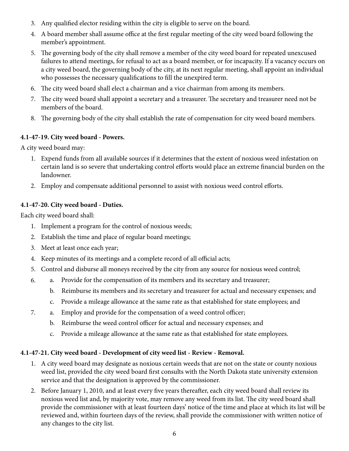- 3. Any qualified elector residing within the city is eligible to serve on the board.
- 4. A board member shall assume office at the first regular meeting of the city weed board following the member's appointment.
- 5. The governing body of the city shall remove a member of the city weed board for repeated unexcused failures to attend meetings, for refusal to act as a board member, or for incapacity. If a vacancy occurs on a city weed board, the governing body of the city, at its next regular meeting, shall appoint an individual who possesses the necessary qualifications to fill the unexpired term.
- 6. The city weed board shall elect a chairman and a vice chairman from among its members.
- 7. The city weed board shall appoint a secretary and a treasurer. The secretary and treasurer need not be members of the board.
- 8. The governing body of the city shall establish the rate of compensation for city weed board members.

## **4.1-47-19. City weed board - Powers.**

A city weed board may:

- 1. Expend funds from all available sources if it determines that the extent of noxious weed infestation on certain land is so severe that undertaking control efforts would place an extreme financial burden on the landowner.
- 2. Employ and compensate additional personnel to assist with noxious weed control efforts.

## **4.1-47-20. City weed board - Duties.**

Each city weed board shall:

- 1. Implement a program for the control of noxious weeds;
- 2. Establish the time and place of regular board meetings;
- 3. Meet at least once each year;
- 4. Keep minutes of its meetings and a complete record of all official acts;
- 5. Control and disburse all moneys received by the city from any source for noxious weed control;
- a. Provide for the compensation of its members and its secretary and treasurer; 6.
	- b. Reimburse its members and its secretary and treasurer for actual and necessary expenses; and
	- c. Provide a mileage allowance at the same rate as that established for state employees; and
- a. Employ and provide for the compensation of a weed control officer; 7.
	- b. Reimburse the weed control officer for actual and necessary expenses; and
	- c. Provide a mileage allowance at the same rate as that established for state employees.

## **4.1-47-21. City weed board - Development of city weed list - Review - Removal.**

- 1. A city weed board may designate as noxious certain weeds that are not on the state or county noxious weed list, provided the city weed board first consults with the North Dakota state university extension service and that the designation is approved by the commissioner.
- 2. Before January 1, 2010, and at least every five years thereafter, each city weed board shall review its noxious weed list and, by majority vote, may remove any weed from its list. The city weed board shall provide the commissioner with at least fourteen days' notice of the time and place at which its list will be reviewed and, within fourteen days of the review, shall provide the commissioner with written notice of any changes to the city list.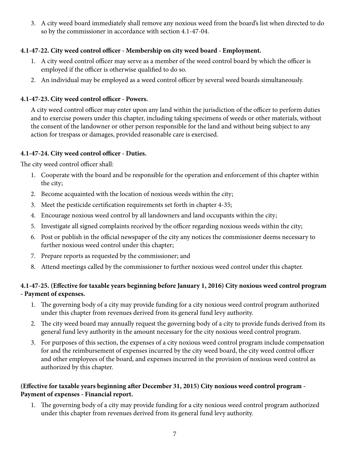3. A city weed board immediately shall remove any noxious weed from the board's list when directed to do so by the commissioner in accordance with section 4.1-47-04.

## **4.1-47-22. City weed control officer - Membership on city weed board - Employment.**

- 1. A city weed control officer may serve as a member of the weed control board by which the officer is employed if the officer is otherwise qualified to do so.
- 2. An individual may be employed as a weed control officer by several weed boards simultaneously.

## **4.1-47-23. City weed control officer - Powers.**

A city weed control officer may enter upon any land within the jurisdiction of the officer to perform duties and to exercise powers under this chapter, including taking specimens of weeds or other materials, without the consent of the landowner or other person responsible for the land and without being subject to any action for trespass or damages, provided reasonable care is exercised.

## **4.1-47-24. City weed control officer - Duties.**

The city weed control officer shall:

- 1. Cooperate with the board and be responsible for the operation and enforcement of this chapter within the city;
- 2. Become acquainted with the location of noxious weeds within the city;
- 3. Meet the pesticide certification requirements set forth in chapter 4-35;
- 4. Encourage noxious weed control by all landowners and land occupants within the city;
- 5. Investigate all signed complaints received by the officer regarding noxious weeds within the city;
- 6. Post or publish in the official newspaper of the city any notices the commissioner deems necessary to further noxious weed control under this chapter;
- 7. Prepare reports as requested by the commissioner; and
- 8. Attend meetings called by the commissioner to further noxious weed control under this chapter.

## **4.1-47-25. (Effective for taxable years beginning before January 1, 2016) City noxious weed control program - Payment of expenses.**

- 1. The governing body of a city may provide funding for a city noxious weed control program authorized under this chapter from revenues derived from its general fund levy authority.
- 2. The city weed board may annually request the governing body of a city to provide funds derived from its general fund levy authority in the amount necessary for the city noxious weed control program.
- 3. For purposes of this section, the expenses of a city noxious weed control program include compensation for and the reimbursement of expenses incurred by the city weed board, the city weed control officer and other employees of the board, and expenses incurred in the provision of noxious weed control as authorized by this chapter.

## **(Effective for taxable years beginning after December 31, 2015) City noxious weed control program - Payment of expenses - Financial report.**

1. The governing body of a city may provide funding for a city noxious weed control program authorized under this chapter from revenues derived from its general fund levy authority.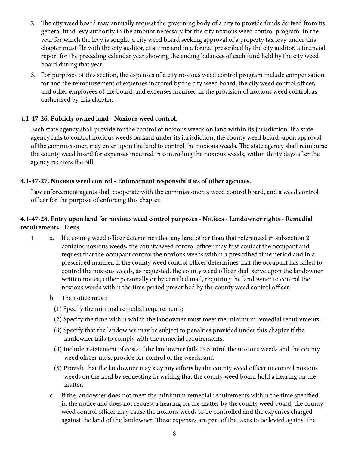- 2. The city weed board may annually request the governing body of a city to provide funds derived from its general fund levy authority in the amount necessary for the city noxious weed control program. In the year for which the levy is sought, a city weed board seeking approval of a property tax levy under this chapter must file with the city auditor, at a time and in a format prescribed by the city auditor, a financial report for the preceding calendar year showing the ending balances of each fund held by the city weed board during that year.
- 3. For purposes of this section, the expenses of a city noxious weed control program include compensation for and the reimbursement of expenses incurred by the city weed board, the city weed control officer, and other employees of the board, and expenses incurred in the provision of noxious weed control, as authorized by this chapter.

## **4.1-47-26. Publicly owned land - Noxious weed control.**

Each state agency shall provide for the control of noxious weeds on land within its jurisdiction. If a state agency fails to control noxious weeds on land under its jurisdiction, the county weed board, upon approval of the commissioner, may enter upon the land to control the noxious weeds. The state agency shall reimburse the county weed board for expenses incurred in controlling the noxious weeds, within thirty days after the agency receives the bill.

## **4.1-47-27. Noxious weed control - Enforcement responsibilities of other agencies.**

Law enforcement agents shall cooperate with the commissioner, a weed control board, and a weed control officer for the purpose of enforcing this chapter.

## **4.1-47-28. Entry upon land for noxious weed control purposes - Notices - Landowner rights - Remedial requirements - Liens.**

- a. If a county weed officer determines that any land other than that referenced in subsection 2 contains noxious weeds, the county weed control officer may first contact the occupant and request that the occupant control the noxious weeds within a prescribed time period and in a prescribed manner. If the county weed control officer determines that the occupant has failed to control the noxious weeds, as requested, the county weed officer shall serve upon the landowner written notice, either personally or by certified mail, requiring the landowner to control the noxious weeds within the time period prescribed by the county weed control officer. 1.
	- b. The notice must:
		- (1) Specify the minimal remedial requirements;
		- (2) Specify the time within which the landowner must meet the minimum remedial requirements;
		- (3) Specify that the landowner may be subject to penalties provided under this chapter if the landowner fails to comply with the remedial requirements;
		- (4) Include a statement of costs if the landowner fails to control the noxious weeds and the county weed officer must provide for control of the weeds; and
		- (5) Provide that the landowner may stay any efforts by the county weed officer to control noxious weeds on the land by requesting in writing that the county weed board hold a hearing on the matter.
	- c. If the landowner does not meet the minimum remedial requirements within the time specified in the notice and does not request a hearing on the matter by the county weed board, the county weed control officer may cause the noxious weeds to be controlled and the expenses charged against the land of the landowner. These expenses are part of the taxes to be levied against the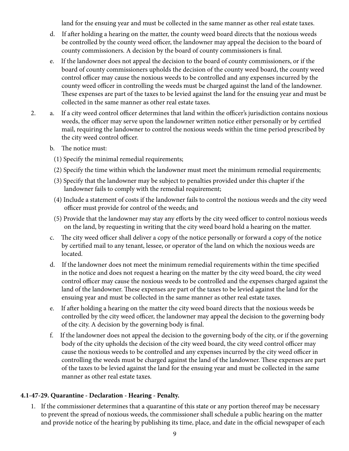land for the ensuing year and must be collected in the same manner as other real estate taxes.

- d. If after holding a hearing on the matter, the county weed board directs that the noxious weeds be controlled by the county weed officer, the landowner may appeal the decision to the board of county commissioners. A decision by the board of county commissioners is final.
- e. If the landowner does not appeal the decision to the board of county commissioners, or if the board of county commissioners upholds the decision of the county weed board, the county weed control officer may cause the noxious weeds to be controlled and any expenses incurred by the county weed officer in controlling the weeds must be charged against the land of the landowner. These expenses are part of the taxes to be levied against the land for the ensuing year and must be collected in the same manner as other real estate taxes.
- a. If a city weed control officer determines that land within the officer's jurisdiction contains noxious weeds, the officer may serve upon the landowner written notice either personally or by certified mail, requiring the landowner to control the noxious weeds within the time period prescribed by the city weed control officer. 2.
	- b. The notice must:
		- (1) Specify the minimal remedial requirements;
		- (2) Specify the time within which the landowner must meet the minimum remedial requirements;
		- (3) Specify that the landowner may be subject to penalties provided under this chapter if the landowner fails to comply with the remedial requirement;
		- (4) Include a statement of costs if the landowner fails to control the noxious weeds and the city weed officer must provide for control of the weeds; and
		- (5) Provide that the landowner may stay any efforts by the city weed officer to control noxious weeds on the land, by requesting in writing that the city weed board hold a hearing on the matter.
	- c. The city weed officer shall deliver a copy of the notice personally or forward a copy of the notice by certified mail to any tenant, lessee, or operator of the land on which the noxious weeds are located.
	- d. If the landowner does not meet the minimum remedial requirements within the time specified in the notice and does not request a hearing on the matter by the city weed board, the city weed control officer may cause the noxious weeds to be controlled and the expenses charged against the land of the landowner. These expenses are part of the taxes to be levied against the land for the ensuing year and must be collected in the same manner as other real estate taxes.
	- e. If after holding a hearing on the matter the city weed board directs that the noxious weeds be controlled by the city weed officer, the landowner may appeal the decision to the governing body of the city. A decision by the governing body is final.
	- f. If the landowner does not appeal the decision to the governing body of the city, or if the governing body of the city upholds the decision of the city weed board, the city weed control officer may cause the noxious weeds to be controlled and any expenses incurred by the city weed officer in controlling the weeds must be charged against the land of the landowner. These expenses are part of the taxes to be levied against the land for the ensuing year and must be collected in the same manner as other real estate taxes.

## **4.1-47-29. Quarantine - Declaration - Hearing - Penalty.**

1. If the commissioner determines that a quarantine of this state or any portion thereof may be necessary to prevent the spread of noxious weeds, the commissioner shall schedule a public hearing on the matter and provide notice of the hearing by publishing its time, place, and date in the official newspaper of each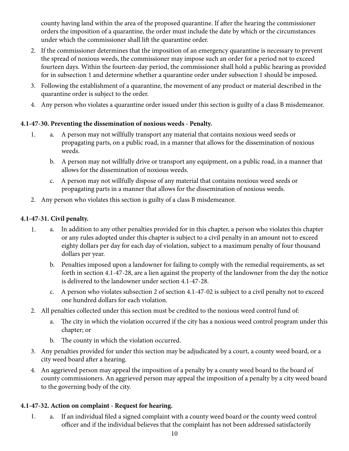county having land within the area of the proposed quarantine. If after the hearing the commissioner orders the imposition of a quarantine, the order must include the date by which or the circumstances under which the commissioner shall lift the quarantine order.

- 2. If the commissioner determines that the imposition of an emergency quarantine is necessary to prevent the spread of noxious weeds, the commissioner may impose such an order for a period not to exceed fourteen days. Within the fourteen-day period, the commissioner shall hold a public hearing as provided for in subsection 1 and determine whether a quarantine order under subsection 1 should be imposed.
- 3. Following the establishment of a quarantine, the movement of any product or material described in the quarantine order is subject to the order.
- 4. Any person who violates a quarantine order issued under this section is guilty of a class B misdemeanor.

## **4.1-47-30. Preventing the dissemination of noxious weeds - Penalty.**

- a. A person may not willfully transport any material that contains noxious weed seeds or propagating parts, on a public road, in a manner that allows for the dissemination of noxious weeds. 1.
	- b. A person may not willfully drive or transport any equipment, on a public road, in a manner that allows for the dissemination of noxious weeds.
	- c. A person may not willfully dispose of any material that contains noxious weed seeds or propagating parts in a manner that allows for the dissemination of noxious weeds.
- 2. Any person who violates this section is guilty of a class B misdemeanor.

## **4.1-47-31. Civil penalty.**

- a. In addition to any other penalties provided for in this chapter, a person who violates this chapter or any rules adopted under this chapter is subject to a civil penalty in an amount not to exceed eighty dollars per day for each day of violation, subject to a maximum penalty of four thousand dollars per year. 1.
	- b. Penalties imposed upon a landowner for failing to comply with the remedial requirements, as set forth in section 4.1-47-28, are a lien against the property of the landowner from the day the notice is delivered to the landowner under section 4.1-47-28.
	- c. A person who violates subsection 2 of section 4.1-47-02 is subject to a civil penalty not to exceed one hundred dollars for each violation.
- 2. All penalties collected under this section must be credited to the noxious weed control fund of:
	- a. The city in which the violation occurred if the city has a noxious weed control program under this chapter; or
	- b. The county in which the violation occurred.
- 3. Any penalties provided for under this section may be adjudicated by a court, a county weed board, or a city weed board after a hearing.
- 4. An aggrieved person may appeal the imposition of a penalty by a county weed board to the board of county commissioners. An aggrieved person may appeal the imposition of a penalty by a city weed board to the governing body of the city.

## **4.1-47-32. Action on complaint - Request for hearing.**

a. If an individual filed a signed complaint with a county weed board or the county weed control officer and if the individual believes that the complaint has not been addressed satisfactorily 1.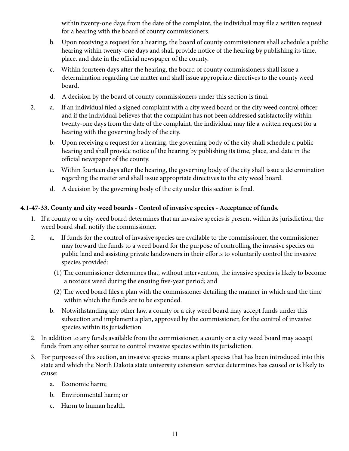within twenty-one days from the date of the complaint, the individual may file a written request for a hearing with the board of county commissioners.

- b. Upon receiving a request for a hearing, the board of county commissioners shall schedule a public hearing within twenty-one days and shall provide notice of the hearing by publishing its time, place, and date in the official newspaper of the county.
- c. Within fourteen days after the hearing, the board of county commissioners shall issue a determination regarding the matter and shall issue appropriate directives to the county weed board.
- d. A decision by the board of county commissioners under this section is final.
- a. If an individual filed a signed complaint with a city weed board or the city weed control officer and if the individual believes that the complaint has not been addressed satisfactorily within twenty-one days from the date of the complaint, the individual may file a written request for a hearing with the governing body of the city. 2.
	- b. Upon receiving a request for a hearing, the governing body of the city shall schedule a public hearing and shall provide notice of the hearing by publishing its time, place, and date in the official newspaper of the county.
	- c. Within fourteen days after the hearing, the governing body of the city shall issue a determination regarding the matter and shall issue appropriate directives to the city weed board.
	- d. A decision by the governing body of the city under this section is final.

## **4.1-47-33. County and city weed boards - Control of invasive species - Acceptance of funds.**

- 1. If a county or a city weed board determines that an invasive species is present within its jurisdiction, the weed board shall notify the commissioner.
- a. If funds for the control of invasive species are available to the commissioner, the commissioner may forward the funds to a weed board for the purpose of controlling the invasive species on public land and assisting private landowners in their efforts to voluntarily control the invasive species provided: 2.
	- (1) The commissioner determines that, without intervention, the invasive species is likely to become a noxious weed during the ensuing five-year period; and
	- (2) The weed board files a plan with the commissioner detailing the manner in which and the time within which the funds are to be expended.
	- b. Notwithstanding any other law, a county or a city weed board may accept funds under this subsection and implement a plan, approved by the commissioner, for the control of invasive species within its jurisdiction.
- 2. In addition to any funds available from the commissioner, a county or a city weed board may accept funds from any other source to control invasive species within its jurisdiction.
- 3. For purposes of this section, an invasive species means a plant species that has been introduced into this state and which the North Dakota state university extension service determines has caused or is likely to cause:
	- a. Economic harm;
	- b. Environmental harm; or
	- c. Harm to human health.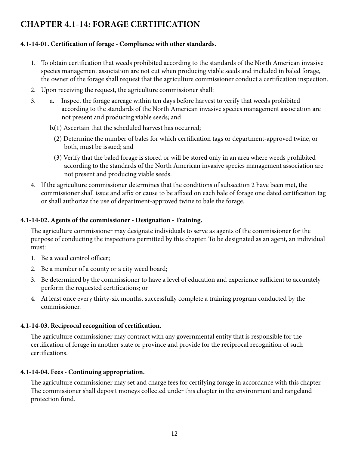## **CHAPTER 4.1-14: FORAGE CERTIFICATION**

## **4.1-14-01. Certification of forage - Compliance with other standards.**

- 1. To obtain certification that weeds prohibited according to the standards of the North American invasive species management association are not cut when producing viable seeds and included in baled forage, the owner of the forage shall request that the agriculture commissioner conduct a certification inspection.
- 2. Upon receiving the request, the agriculture commissioner shall:
- a. Inspect the forage acreage within ten days before harvest to verify that weeds prohibited according to the standards of the North American invasive species management association are not present and producing viable seeds; and 3.
	- (1) Ascertain that the scheduled harvest has occurred; b.
		- (2) Determine the number of bales for which certification tags or department-approved twine, or both, must be issued; and
		- (3) Verify that the baled forage is stored or will be stored only in an area where weeds prohibited according to the standards of the North American invasive species management association are not present and producing viable seeds.
- 4. If the agriculture commissioner determines that the conditions of subsection 2 have been met, the commissioner shall issue and affix or cause to be affixed on each bale of forage one dated certification tag or shall authorize the use of department-approved twine to bale the forage.

## **4.1-14-02. Agents of the commissioner - Designation - Training.**

The agriculture commissioner may designate individuals to serve as agents of the commissioner for the purpose of conducting the inspections permitted by this chapter. To be designated as an agent, an individual must:

- 1. Be a weed control officer;
- 2. Be a member of a county or a city weed board;
- 3. Be determined by the commissioner to have a level of education and experience sufficient to accurately perform the requested certifications; or
- 4. At least once every thirty-six months, successfully complete a training program conducted by the commissioner.

## **4.1-14-03. Reciprocal recognition of certification.**

The agriculture commissioner may contract with any governmental entity that is responsible for the certification of forage in another state or province and provide for the reciprocal recognition of such certifications.

## **4.1-14-04. Fees - Continuing appropriation.**

The agriculture commissioner may set and charge fees for certifying forage in accordance with this chapter. The commissioner shall deposit moneys collected under this chapter in the environment and rangeland protection fund.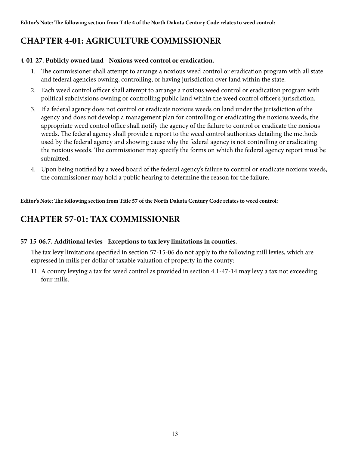## **CHAPTER 4-01: AGRICULTURE COMMISSIONER**

## **4-01-27. Publicly owned land - Noxious weed control or eradication.**

- 1. The commissioner shall attempt to arrange a noxious weed control or eradication program with all state and federal agencies owning, controlling, or having jurisdiction over land within the state.
- 2. Each weed control officer shall attempt to arrange a noxious weed control or eradication program with political subdivisions owning or controlling public land within the weed control officer's jurisdiction.
- 3. If a federal agency does not control or eradicate noxious weeds on land under the jurisdiction of the agency and does not develop a management plan for controlling or eradicating the noxious weeds, the appropriate weed control office shall notify the agency of the failure to control or eradicate the noxious weeds. The federal agency shall provide a report to the weed control authorities detailing the methods used by the federal agency and showing cause why the federal agency is not controlling or eradicating the noxious weeds. The commissioner may specify the forms on which the federal agency report must be submitted.
- 4. Upon being notified by a weed board of the federal agency's failure to control or eradicate noxious weeds, the commissioner may hold a public hearing to determine the reason for the failure.

**Editor's Note: The following section from Title 57 of the North Dakota Century Code relates to weed control:**

## **CHAPTER 57-01: TAX COMMISSIONER**

## **57-15-06.7. Additional levies - Exceptions to tax levy limitations in counties.**

The tax levy limitations specified in section 57-15-06 do not apply to the following mill levies, which are expressed in mills per dollar of taxable valuation of property in the county:

11. A county levying a tax for weed control as provided in section 4.1-47-14 may levy a tax not exceeding four mills.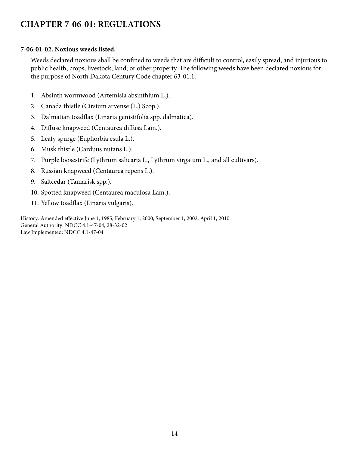## **CHAPTER 7-06-01: REGULATIONS**

#### **7-06-01-02. Noxious weeds listed.**

Weeds declared noxious shall be confined to weeds that are difficult to control, easily spread, and injurious to public health, crops, livestock, land, or other property. The following weeds have been declared noxious for the purpose of North Dakota Century Code chapter 63-01.1:

- 1. Absinth wormwood (Artemisia absinthium L.).
- 2. Canada thistle (Cirsium arvense (L.) Scop.).
- 3. Dalmatian toadflax (Linaria genistifolia spp. dalmatica).
- 4. Diffuse knapweed (Centaurea diffusa Lam.).
- 5. Leafy spurge (Euphorbia esula L.).
- 6. Musk thistle (Carduus nutans L.).
- 7. Purple loosestrife (Lythrum salicaria L., Lythrum virgatum L., and all cultivars).
- 8. Russian knapweed (Centaurea repens L.).
- 9. Saltcedar (Tamarisk spp.).
- 10. Spotted knapweed (Centaurea maculosa Lam.).
- 11. Yellow toadflax (Linaria vulgaris).

History: Amended effective June 1, 1985; February 1, 2000; September 1, 2002; April 1, 2010. General Authority: NDCC 4.1-47-04, 28-32-02 Law Implemented: NDCC 4.1-47-04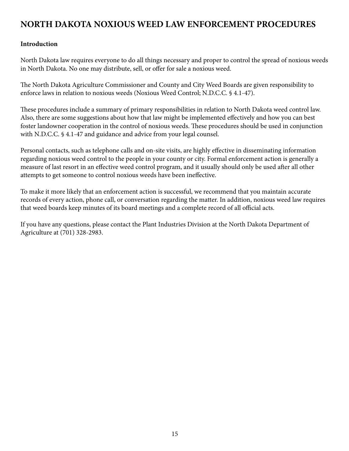## **NORTH DAKOTA NOXIOUS WEED LAW ENFORCEMENT PROCEDURES**

## **Introduction**

North Dakota law requires everyone to do all things necessary and proper to control the spread of noxious weeds in North Dakota. No one may distribute, sell, or offer for sale a noxious weed.

The North Dakota Agriculture Commissioner and County and City Weed Boards are given responsibility to enforce laws in relation to noxious weeds (Noxious Weed Control; N.D.C.C. § 4.1-47).

These procedures include a summary of primary responsibilities in relation to North Dakota weed control law. Also, there are some suggestions about how that law might be implemented effectively and how you can best foster landowner cooperation in the control of noxious weeds. These procedures should be used in conjunction with N.D.C.C. § 4.1-47 and guidance and advice from your legal counsel.

Personal contacts, such as telephone calls and on-site visits, are highly effective in disseminating information regarding noxious weed control to the people in your county or city. Formal enforcement action is generally a measure of last resort in an effective weed control program, and it usually should only be used after all other attempts to get someone to control noxious weeds have been ineffective.

To make it more likely that an enforcement action is successful, we recommend that you maintain accurate records of every action, phone call, or conversation regarding the matter. In addition, noxious weed law requires that weed boards keep minutes of its board meetings and a complete record of all official acts.

If you have any questions, please contact the Plant Industries Division at the North Dakota Department of Agriculture at (701) 328-2983.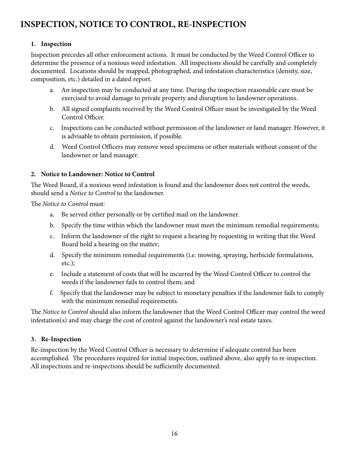## **INSPECTION, NOTICE TO CONTROL, RE-INSPECTION**

## **1. Inspection**

Inspection precedes all other enforcement actions. It must be conducted by the Weed Control Officer to determine the presence of a noxious weed infestation. All inspections should be carefully and completely documented. Locations should be mapped, photographed, and infestation characteristics (density, size, composition, etc.) detailed in a dated report.

- a. An inspection may be conducted at any time. During the inspection reasonable care must be exercised to avoid damage to private property and disruption to landowner operations.
- b. All signed complaints received by the Weed Control Officer must be investigated by the Weed Control Officer.
- c. Inspections can be conducted without permission of the landowner or land manager. However, it is advisable to obtain permission, if possible.
- d. Weed Control Officers may remove weed specimens or other materials without consent of the landowner or land manager.

## **2. Notice to Landowner: Notice to Control**

The Weed Board, if a noxious weed infestation is found and the landowner does not control the weeds, should send a *Notice to Control* to the landowner.

The *Notice to Control* must:

- a. Be served either personally or by certified mail on the landowner.
- b. Specify the time within which the landowner must meet the minimum remedial requirements;
- c. Inform the landowner of the right to request a hearing by requesting in writing that the Weed Board hold a hearing on the matter;
- d. Specify the minimum remedial requirements (i.e. mowing, spraying, herbicide formulations, etc.);
- e. Include a statement of costs that will be incurred by the Weed Control Officer to control the weeds if the landowner fails to control them; and
- f. Specify that the landowner may be subject to monetary penalties if the landowner fails to comply with the minimum remedial requirements.

The *Notice to Control* should also inform the landowner that the Weed Control Officer may control the weed infestation(s) and may charge the cost of control against the landowner's real estate taxes.

## **3. Re-Inspection**

Re-inspection by the Weed Control Officer is necessary to determine if adequate control has been accomplished. The procedures required for initial inspection, outlined above, also apply to re-inspection. All inspections and re-inspections should be sufficiently documented.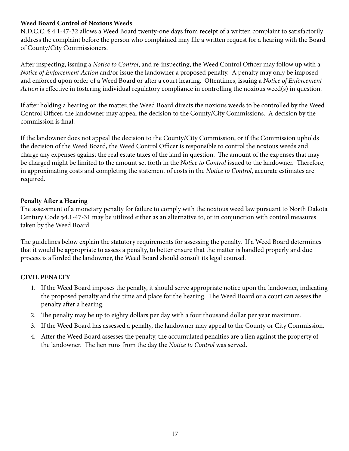## **Weed Board Control of Noxious Weeds**

N.D.C.C. § 4.1-47-32 allows a Weed Board twenty-one days from receipt of a written complaint to satisfactorily address the complaint before the person who complained may file a written request for a hearing with the Board of County/City Commissioners.

After inspecting, issuing a *Notice to Control*, and re-inspecting, the Weed Control Officer may follow up with a *Notice of Enforcement Action* and/or issue the landowner a proposed penalty. A penalty may only be imposed and enforced upon order of a Weed Board or after a court hearing. Oftentimes, issuing a *Notice of Enforcement Action* is effective in fostering individual regulatory compliance in controlling the noxious weed(s) in question.

If after holding a hearing on the matter, the Weed Board directs the noxious weeds to be controlled by the Weed Control Officer, the landowner may appeal the decision to the County/City Commissions. A decision by the commission is final.

If the landowner does not appeal the decision to the County/City Commission, or if the Commission upholds the decision of the Weed Board, the Weed Control Officer is responsible to control the noxious weeds and charge any expenses against the real estate taxes of the land in question. The amount of the expenses that may be charged might be limited to the amount set forth in the *Notice to Control* issued to the landowner. Therefore, in approximating costs and completing the statement of costs in the *Notice to Control*, accurate estimates are required.

## **Penalty After a Hearing**

The assessment of a monetary penalty for failure to comply with the noxious weed law pursuant to North Dakota Century Code §4.1-47-31 may be utilized either as an alternative to, or in conjunction with control measures taken by the Weed Board.

The guidelines below explain the statutory requirements for assessing the penalty. If a Weed Board determines that it would be appropriate to assess a penalty, to better ensure that the matter is handled properly and due process is afforded the landowner, the Weed Board should consult its legal counsel.

## **CIVIL PENALTY**

- 1. If the Weed Board imposes the penalty, it should serve appropriate notice upon the landowner, indicating the proposed penalty and the time and place for the hearing. The Weed Board or a court can assess the penalty after a hearing.
- 2. The penalty may be up to eighty dollars per day with a four thousand dollar per year maximum.
- 3. If the Weed Board has assessed a penalty, the landowner may appeal to the County or City Commission.
- 4. After the Weed Board assesses the penalty, the accumulated penalties are a lien against the property of the landowner. The lien runs from the day the *Notice to Control* was served.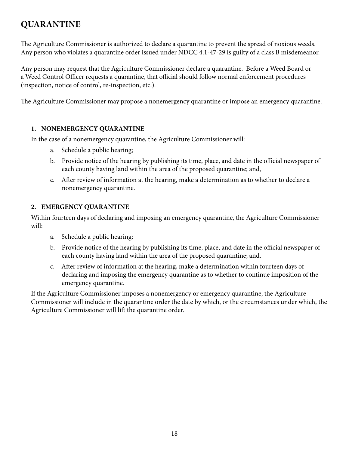## **QUARANTINE**

The Agriculture Commissioner is authorized to declare a quarantine to prevent the spread of noxious weeds. Any person who violates a quarantine order issued under NDCC 4.1-47-29 is guilty of a class B misdemeanor.

Any person may request that the Agriculture Commissioner declare a quarantine. Before a Weed Board or a Weed Control Officer requests a quarantine, that official should follow normal enforcement procedures (inspection, notice of control, re-inspection, etc.).

The Agriculture Commissioner may propose a nonemergency quarantine or impose an emergency quarantine:

## **1. NONEMERGENCY QUARANTINE**

In the case of a nonemergency quarantine, the Agriculture Commissioner will:

- a. Schedule a public hearing;
- b. Provide notice of the hearing by publishing its time, place, and date in the official newspaper of each county having land within the area of the proposed quarantine; and,
- c. After review of information at the hearing, make a determination as to whether to declare a nonemergency quarantine.

## **2. EMERGENCY QUARANTINE**

Within fourteen days of declaring and imposing an emergency quarantine, the Agriculture Commissioner will:

- a. Schedule a public hearing;
- b. Provide notice of the hearing by publishing its time, place, and date in the official newspaper of each county having land within the area of the proposed quarantine; and,
- c. After review of information at the hearing, make a determination within fourteen days of declaring and imposing the emergency quarantine as to whether to continue imposition of the emergency quarantine.

If the Agriculture Commissioner imposes a nonemergency or emergency quarantine, the Agriculture Commissioner will include in the quarantine order the date by which, or the circumstances under which, the Agriculture Commissioner will lift the quarantine order.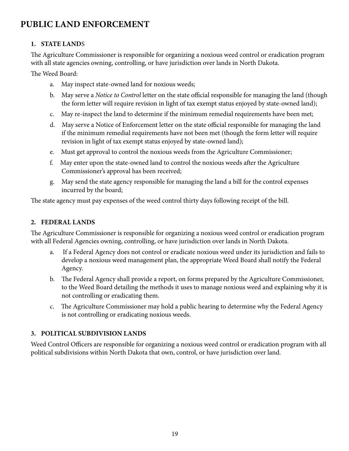## **PUBLIC LAND ENFORCEMENT**

## **1. STATE LAND**S

The Agriculture Commissioner is responsible for organizing a noxious weed control or eradication program with all state agencies owning, controlling, or have jurisdiction over lands in North Dakota.

The Weed Board:

- a. May inspect state-owned land for noxious weeds;
- b. May serve a *Notice to Control* letter on the state official responsible for managing the land (though the form letter will require revision in light of tax exempt status enjoyed by state-owned land);
- c. May re-inspect the land to determine if the minimum remedial requirements have been met;
- d. May serve a Notice of Enforcement letter on the state official responsible for managing the land if the minimum remedial requirements have not been met (though the form letter will require revision in light of tax exempt status enjoyed by state-owned land);
- e. Must get approval to control the noxious weeds from the Agriculture Commissioner;
- f. May enter upon the state-owned land to control the noxious weeds after the Agriculture Commissioner's approval has been received;
- g. May send the state agency responsible for managing the land a bill for the control expenses incurred by the board;

The state agency must pay expenses of the weed control thirty days following receipt of the bill.

#### **2. FEDERAL LANDS**

The Agriculture Commissioner is responsible for organizing a noxious weed control or eradication program with all Federal Agencies owning, controlling, or have jurisdiction over lands in North Dakota.

- a. If a Federal Agency does not control or eradicate noxious weed under its jurisdiction and fails to develop a noxious weed management plan, the appropriate Weed Board shall notify the Federal Agency.
- b. The Federal Agency shall provide a report, on forms prepared by the Agriculture Commissioner, to the Weed Board detailing the methods it uses to manage noxious weed and explaining why it is not controlling or eradicating them.
- c. The Agriculture Commissioner may hold a public hearing to determine why the Federal Agency is not controlling or eradicating noxious weeds.

## **3. POLITICAL SUBDIVISION LANDS**

Weed Control Officers are responsible for organizing a noxious weed control or eradication program with all political subdivisions within North Dakota that own, control, or have jurisdiction over land.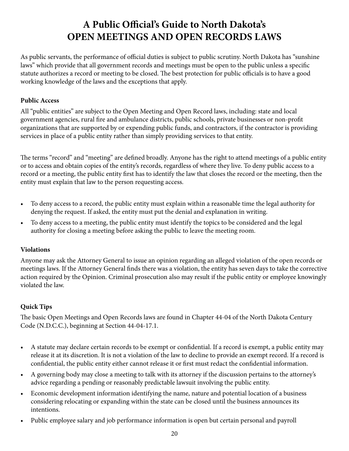## **A Public Official's Guide to North Dakota's OPEN MEETINGS AND OPEN RECORDS LAWS**

As public servants, the performance of official duties is subject to public scrutiny. North Dakota has "sunshine laws" which provide that all government records and meetings must be open to the public unless a specific statute authorizes a record or meeting to be closed. The best protection for public officials is to have a good working knowledge of the laws and the exceptions that apply.

## **Public Access**

All "public entities" are subject to the Open Meeting and Open Record laws, including: state and local government agencies, rural fire and ambulance districts, public schools, private businesses or non-profit organizations that are supported by or expending public funds, and contractors, if the contractor is providing services in place of a public entity rather than simply providing services to that entity.

The terms "record" and "meeting" are defined broadly. Anyone has the right to attend meetings of a public entity or to access and obtain copies of the entity's records, regardless of where they live. To deny public access to a record or a meeting, the public entity first has to identify the law that closes the record or the meeting, then the entity must explain that law to the person requesting access.

- To deny access to a record, the public entity must explain within a reasonable time the legal authority for denying the request. If asked, the entity must put the denial and explanation in writing.
- To deny access to a meeting, the public entity must identify the topics to be considered and the legal authority for closing a meeting before asking the public to leave the meeting room.

## **Violations**

Anyone may ask the Attorney General to issue an opinion regarding an alleged violation of the open records or meetings laws. If the Attorney General finds there was a violation, the entity has seven days to take the corrective action required by the Opinion. Criminal prosecution also may result if the public entity or employee knowingly violated the law.

## **Quick Tips**

The basic Open Meetings and Open Records laws are found in Chapter 44-04 of the North Dakota Century Code (N.D.C.C.), beginning at Section 44-04-17.1.

- A statute may declare certain records to be exempt or confidential. If a record is exempt, a public entity may release it at its discretion. It is not a violation of the law to decline to provide an exempt record. If a record is confidential, the public entity either cannot release it or first must redact the confidential information.
- A governing body may close a meeting to talk with its attorney if the discussion pertains to the attorney's advice regarding a pending or reasonably predictable lawsuit involving the public entity.
- Economic development information identifying the name, nature and potential location of a business considering relocating or expanding within the state can be closed until the business announces its intentions.
- Public employee salary and job performance information is open but certain personal and payroll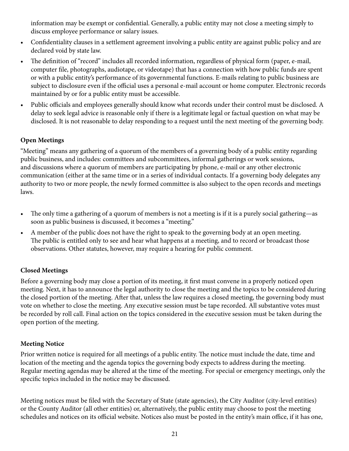information may be exempt or confidential. Generally, a public entity may not close a meeting simply to discuss employee performance or salary issues.

- Confidentiality clauses in a settlement agreement involving a public entity are against public policy and are declared void by state law.
- The definition of "record" includes all recorded information, regardless of physical form (paper, e-mail, computer file, photographs, audiotape, or videotape) that has a connection with how public funds are spent or with a public entity's performance of its governmental functions. E-mails relating to public business are subject to disclosure even if the official uses a personal e-mail account or home computer. Electronic records maintained by or for a public entity must be accessible.
- Public officials and employees generally should know what records under their control must be disclosed. A delay to seek legal advice is reasonable only if there is a legitimate legal or factual question on what may be disclosed. It is not reasonable to delay responding to a request until the next meeting of the governing body.

## **Open Meetings**

"Meeting" means any gathering of a quorum of the members of a governing body of a public entity regarding public business, and includes: committees and subcommittees, informal gatherings or work sessions, and discussions where a quorum of members are participating by phone, e-mail or any other electronic communication (either at the same time or in a series of individual contacts. If a governing body delegates any authority to two or more people, the newly formed committee is also subject to the open records and meetings laws.

- The only time a gathering of a quorum of members is not a meeting is if it is a purely social gathering—as soon as public business is discussed, it becomes a "meeting."
- A member of the public does not have the right to speak to the governing body at an open meeting. The public is entitled only to see and hear what happens at a meeting, and to record or broadcast those observations. Other statutes, however, may require a hearing for public comment.

## **Closed Meetings**

Before a governing body may close a portion of its meeting, it first must convene in a properly noticed open meeting. Next, it has to announce the legal authority to close the meeting and the topics to be considered during the closed portion of the meeting. After that, unless the law requires a closed meeting, the governing body must vote on whether to close the meeting. Any executive session must be tape recorded. All substantive votes must be recorded by roll call. Final action on the topics considered in the executive session must be taken during the open portion of the meeting.

## **Meeting Notice**

Prior written notice is required for all meetings of a public entity. The notice must include the date, time and location of the meeting and the agenda topics the governing body expects to address during the meeting. Regular meeting agendas may be altered at the time of the meeting. For special or emergency meetings, only the specific topics included in the notice may be discussed.

Meeting notices must be filed with the Secretary of State (state agencies), the City Auditor (city-level entities) or the County Auditor (all other entities) or, alternatively, the public entity may choose to post the meeting schedules and notices on its official website. Notices also must be posted in the entity's main office, if it has one,